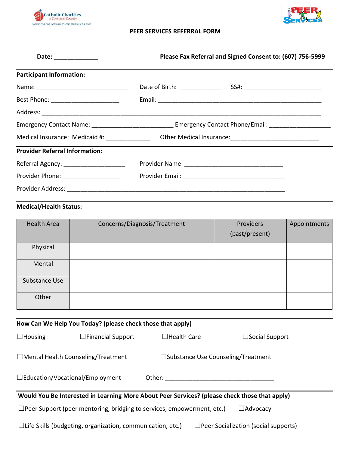



## **PEER SERVICES REFERRAL FORM**

| Date: ______________                     | Please Fax Referral and Signed Consent to: (607) 756-5999 |                                                                                                                |  |
|------------------------------------------|-----------------------------------------------------------|----------------------------------------------------------------------------------------------------------------|--|
| <b>Participant Information:</b>          |                                                           |                                                                                                                |  |
|                                          |                                                           |                                                                                                                |  |
| Best Phone: __________________________   |                                                           |                                                                                                                |  |
|                                          |                                                           |                                                                                                                |  |
|                                          |                                                           | Emergency Contact Name: __________________________________ Emergency Contact Phone/Email: ____________________ |  |
|                                          |                                                           | Medical Insurance: Medicaid #: ________________ Other Medical Insurance: ___________________________           |  |
| <b>Provider Referral Information:</b>    |                                                           |                                                                                                                |  |
| Referral Agency: _______________________ |                                                           |                                                                                                                |  |
| Provider Phone: ___________________      |                                                           |                                                                                                                |  |
|                                          |                                                           |                                                                                                                |  |

## **Medical/Health Status:**

| <b>Health Area</b> | Concerns/Diagnosis/Treatment | Providers<br>(past/present) | Appointments |
|--------------------|------------------------------|-----------------------------|--------------|
| Physical           |                              |                             |              |
| Mental             |                              |                             |              |
| Substance Use      |                              |                             |              |
| Other              |                              |                             |              |

| How Can We Help You Today? (please check those that apply)                                |                                                                               |                    |                                                                                               |  |
|-------------------------------------------------------------------------------------------|-------------------------------------------------------------------------------|--------------------|-----------------------------------------------------------------------------------------------|--|
| $\Box$ Housing                                                                            | $\Box$ Financial Support                                                      | $\Box$ Health Care | $\Box$ Social Support                                                                         |  |
| $\Box$ Mental Health Counseling/Treatment<br>$\square$ Substance Use Counseling/Treatment |                                                                               |                    |                                                                                               |  |
| $\Box$ Education/Vocational/Employment<br>Other:                                          |                                                                               |                    |                                                                                               |  |
|                                                                                           |                                                                               |                    | Would You Be Interested in Learning More About Peer Services? (please check those that apply) |  |
|                                                                                           | $\Box$ Peer Support (peer mentoring, bridging to services, empowerment, etc.) |                    | $\Box$ Advocacy                                                                               |  |
|                                                                                           | $\Box$ Life Skills (budgeting, organization, communication, etc.)             |                    | $\Box$ Peer Socialization (social supports)                                                   |  |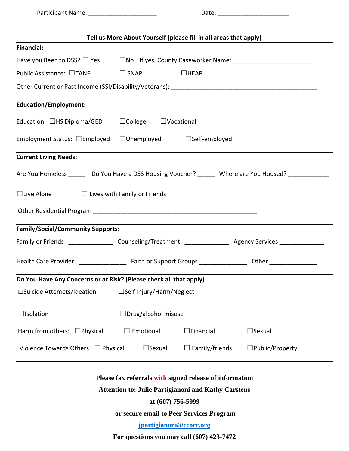Participant Name: \_\_\_\_\_\_\_\_\_\_\_\_\_\_\_\_\_\_\_\_ Date: \_\_\_\_\_\_\_\_\_\_\_\_\_\_\_\_\_\_\_\_\_

| Tell us More About Yourself (please fill in all areas that apply)                                              |                                        |                       |                           |
|----------------------------------------------------------------------------------------------------------------|----------------------------------------|-----------------------|---------------------------|
| <b>Financial:</b>                                                                                              |                                        |                       |                           |
| Have you Been to DSS? □ Yes □ No If yes, County Caseworker Name: ________________                              |                                        |                       |                           |
| Public Assistance: □TANF                                                                                       | $\Box$ SNAP                            | $\Box$ HEAP           |                           |
|                                                                                                                |                                        |                       |                           |
| <b>Education/Employment:</b>                                                                                   |                                        |                       |                           |
| Education: □HS Diploma/GED                                                                                     | $\Box$ College $\Box$ Vocational       |                       |                           |
| Employment Status: $\square$ Employed                                                                          | $\Box$ Unemployed $\Box$ Self-employed |                       |                           |
| <b>Current Living Needs:</b>                                                                                   |                                        |                       |                           |
| Are You Homeless _______ Do You Have a DSS Housing Voucher? ______ Where are You Housed? ___________           |                                        |                       |                           |
| $\Box$ Live Alone                                                                                              | $\Box$ Lives with Family or Friends    |                       |                           |
|                                                                                                                |                                        |                       |                           |
| <b>Family/Social/Community Supports:</b>                                                                       |                                        |                       |                           |
| Family or Friends _____________________Counseling/Treatment ____________________ Agency Services _____________ |                                        |                       |                           |
|                                                                                                                |                                        |                       |                           |
| Do You Have Any Concerns or at Risk? (Please check all that apply)                                             |                                        |                       |                           |
| □Suicide Attempts/Ideation                                                                                     | $\square$ Self Injury/Harm/Neglect     |                       |                           |
| $\Box$ Isolation                                                                                               | $\Box$ Drug/alcohol misuse             |                       |                           |
| Harm from others: $\Box$ Physical                                                                              | $\Box$ Emotional                       | $\Box$ Financial      | $\square$ Sexual          |
| Violence Towards Others: $\Box$ Physical                                                                       | $\Box$ Sexual                          | $\Box$ Family/friends | $\square$ Public/Property |

**Please fax referrals with signed release of information**

**Attention to: Julie Partigianoni and Kathy Carstens**

**at (607) 756-5999**

**or secure email to Peer Services Program**

**[jpartigianoni@ccocc.org](mailto:jpartigianoni@ccocc.org)**

**For questions you may call (607) 423-7472**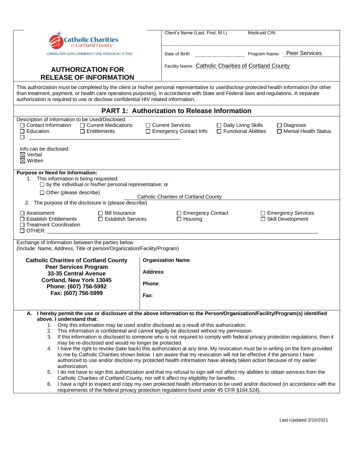| Client's Name (Last, First, M.I.)<br>Medicaid CIN:<br><b>Catholic Charities</b><br>of Cortland County<br>Program Name: Peer Services<br>CARING FOR OUR COMMUNITY ONE PERSON AT A TIME<br>Facility Name: Catholic Charities of Cortland County<br><b>AUTHORIZATION FOR</b><br><b>RELEASE OF INFORMATION</b><br>This authorization must be completed by the client or his/her personal representative to use/disclose protected health information (for other<br>than treatment, payment, or health care operations purposes), in accordance with State and Federal laws and regulations. A separate<br>authorization is required to use or disclose confidential HIV related information.<br><b>PART 1: Authorization to Release Information</b><br>Description of Information to be Used/Disclosed:<br>$\Box$ Contact Information<br>□ Current Medications<br>□ Current Services<br>□ Daily Living Skills<br>$\Box$ Diagnosis<br>□ Functional Abilities<br>□ Mental Health Status<br>$\Box$ Education<br>$\Box$ Entitlements<br>□ Emergency Contact Info.<br>$\square$ : $\_\_$<br>Info can be disclosed:<br>$\boxtimes$ Verbal<br>$\boxtimes$ Written<br><b>Purpose or Need for Information:</b><br>1. This information is being requested:<br>$\square$ by the individual or his/her personal representative; or<br>$\Box$ Other (please describe)<br><b>Catholic Charities of Cortland County</b><br>2. The purpose of the disclosure is (please describe)<br>$\Box$ Assessment<br>$\Box$ Bill Insurance<br>□ Emergency Contact<br>□ Emergency Services<br>$\Box$ Establish Entitlements<br>$\Box$ Housing<br>□ Skill Development<br>$\Box$ Establish Services<br>□ Treatment Coordination<br>Exchange of Information between the parties below<br>(Include: Name, Address, Title of person/Organization/Facility/Program)<br><b>Organization Name:</b><br><b>Catholic Charities of Cortland County</b><br><b>Peer Services Program</b><br>Address:<br>33-35 Central Avenue<br>Cortland, New York 13045<br>Phone:<br>Phone: (607) 756-5992<br>Fax: (607) 756-5999<br>Fax:<br>A. I hereby permit the use or disclosure of the above information to the Person/Organization/Facility/Program(s) identified<br>above. I understand that:<br>1. Only this information may be used and/or disclosed as a result of this authorization.<br>This information is confidential and cannot legally be disclosed without my permission.<br>2.<br>If this information is disclosed to someone who is not required to comply with federal privacy protection regulations, then it<br>3.<br>may be re-disclosed and would no longer be protected.<br>4. I have the right to revoke (take back) this authorization at any time. My revocation must be in writing on the form provided<br>to me by Catholic Charities shown below. I am aware that my revocation will not be effective if the persons I have<br>authorized to use and/or disclose my protected health information have already taken action because of my earlier<br>authorization.<br>5. I do not have to sign this authorization and that my refusal to sign will not affect my abilities to obtain services from the<br>Catholic Charities of Cortland County, nor will it affect my eligibility for benefits.<br>I have a right to inspect and copy my own protected health information to be used and/or disclosed (in accordance with the<br>6.<br>requirements of the federal privacy protection regulations found under 45 CFR §164.524). |  |  |  |  |
|------------------------------------------------------------------------------------------------------------------------------------------------------------------------------------------------------------------------------------------------------------------------------------------------------------------------------------------------------------------------------------------------------------------------------------------------------------------------------------------------------------------------------------------------------------------------------------------------------------------------------------------------------------------------------------------------------------------------------------------------------------------------------------------------------------------------------------------------------------------------------------------------------------------------------------------------------------------------------------------------------------------------------------------------------------------------------------------------------------------------------------------------------------------------------------------------------------------------------------------------------------------------------------------------------------------------------------------------------------------------------------------------------------------------------------------------------------------------------------------------------------------------------------------------------------------------------------------------------------------------------------------------------------------------------------------------------------------------------------------------------------------------------------------------------------------------------------------------------------------------------------------------------------------------------------------------------------------------------------------------------------------------------------------------------------------------------------------------------------------------------------------------------------------------------------------------------------------------------------------------------------------------------------------------------------------------------------------------------------------------------------------------------------------------------------------------------------------------------------------------------------------------------------------------------------------------------------------------------------------------------------------------------------------------------------------------------------------------------------------------------------------------------------------------------------------------------------------------------------------------------------------------------------------------------------------------------------------------------------------------------------------------------------------------------------------------------------------------------------------------------------------------------------------------------------------------------------------------------------------------------------------------------------------------------------------------------------------------------------------------------------------------------------------------------------------------------------------------------------------------------|--|--|--|--|
|                                                                                                                                                                                                                                                                                                                                                                                                                                                                                                                                                                                                                                                                                                                                                                                                                                                                                                                                                                                                                                                                                                                                                                                                                                                                                                                                                                                                                                                                                                                                                                                                                                                                                                                                                                                                                                                                                                                                                                                                                                                                                                                                                                                                                                                                                                                                                                                                                                                                                                                                                                                                                                                                                                                                                                                                                                                                                                                                                                                                                                                                                                                                                                                                                                                                                                                                                                                                                                                                                                      |  |  |  |  |
|                                                                                                                                                                                                                                                                                                                                                                                                                                                                                                                                                                                                                                                                                                                                                                                                                                                                                                                                                                                                                                                                                                                                                                                                                                                                                                                                                                                                                                                                                                                                                                                                                                                                                                                                                                                                                                                                                                                                                                                                                                                                                                                                                                                                                                                                                                                                                                                                                                                                                                                                                                                                                                                                                                                                                                                                                                                                                                                                                                                                                                                                                                                                                                                                                                                                                                                                                                                                                                                                                                      |  |  |  |  |
|                                                                                                                                                                                                                                                                                                                                                                                                                                                                                                                                                                                                                                                                                                                                                                                                                                                                                                                                                                                                                                                                                                                                                                                                                                                                                                                                                                                                                                                                                                                                                                                                                                                                                                                                                                                                                                                                                                                                                                                                                                                                                                                                                                                                                                                                                                                                                                                                                                                                                                                                                                                                                                                                                                                                                                                                                                                                                                                                                                                                                                                                                                                                                                                                                                                                                                                                                                                                                                                                                                      |  |  |  |  |
|                                                                                                                                                                                                                                                                                                                                                                                                                                                                                                                                                                                                                                                                                                                                                                                                                                                                                                                                                                                                                                                                                                                                                                                                                                                                                                                                                                                                                                                                                                                                                                                                                                                                                                                                                                                                                                                                                                                                                                                                                                                                                                                                                                                                                                                                                                                                                                                                                                                                                                                                                                                                                                                                                                                                                                                                                                                                                                                                                                                                                                                                                                                                                                                                                                                                                                                                                                                                                                                                                                      |  |  |  |  |
|                                                                                                                                                                                                                                                                                                                                                                                                                                                                                                                                                                                                                                                                                                                                                                                                                                                                                                                                                                                                                                                                                                                                                                                                                                                                                                                                                                                                                                                                                                                                                                                                                                                                                                                                                                                                                                                                                                                                                                                                                                                                                                                                                                                                                                                                                                                                                                                                                                                                                                                                                                                                                                                                                                                                                                                                                                                                                                                                                                                                                                                                                                                                                                                                                                                                                                                                                                                                                                                                                                      |  |  |  |  |
|                                                                                                                                                                                                                                                                                                                                                                                                                                                                                                                                                                                                                                                                                                                                                                                                                                                                                                                                                                                                                                                                                                                                                                                                                                                                                                                                                                                                                                                                                                                                                                                                                                                                                                                                                                                                                                                                                                                                                                                                                                                                                                                                                                                                                                                                                                                                                                                                                                                                                                                                                                                                                                                                                                                                                                                                                                                                                                                                                                                                                                                                                                                                                                                                                                                                                                                                                                                                                                                                                                      |  |  |  |  |
|                                                                                                                                                                                                                                                                                                                                                                                                                                                                                                                                                                                                                                                                                                                                                                                                                                                                                                                                                                                                                                                                                                                                                                                                                                                                                                                                                                                                                                                                                                                                                                                                                                                                                                                                                                                                                                                                                                                                                                                                                                                                                                                                                                                                                                                                                                                                                                                                                                                                                                                                                                                                                                                                                                                                                                                                                                                                                                                                                                                                                                                                                                                                                                                                                                                                                                                                                                                                                                                                                                      |  |  |  |  |
|                                                                                                                                                                                                                                                                                                                                                                                                                                                                                                                                                                                                                                                                                                                                                                                                                                                                                                                                                                                                                                                                                                                                                                                                                                                                                                                                                                                                                                                                                                                                                                                                                                                                                                                                                                                                                                                                                                                                                                                                                                                                                                                                                                                                                                                                                                                                                                                                                                                                                                                                                                                                                                                                                                                                                                                                                                                                                                                                                                                                                                                                                                                                                                                                                                                                                                                                                                                                                                                                                                      |  |  |  |  |
|                                                                                                                                                                                                                                                                                                                                                                                                                                                                                                                                                                                                                                                                                                                                                                                                                                                                                                                                                                                                                                                                                                                                                                                                                                                                                                                                                                                                                                                                                                                                                                                                                                                                                                                                                                                                                                                                                                                                                                                                                                                                                                                                                                                                                                                                                                                                                                                                                                                                                                                                                                                                                                                                                                                                                                                                                                                                                                                                                                                                                                                                                                                                                                                                                                                                                                                                                                                                                                                                                                      |  |  |  |  |
|                                                                                                                                                                                                                                                                                                                                                                                                                                                                                                                                                                                                                                                                                                                                                                                                                                                                                                                                                                                                                                                                                                                                                                                                                                                                                                                                                                                                                                                                                                                                                                                                                                                                                                                                                                                                                                                                                                                                                                                                                                                                                                                                                                                                                                                                                                                                                                                                                                                                                                                                                                                                                                                                                                                                                                                                                                                                                                                                                                                                                                                                                                                                                                                                                                                                                                                                                                                                                                                                                                      |  |  |  |  |
|                                                                                                                                                                                                                                                                                                                                                                                                                                                                                                                                                                                                                                                                                                                                                                                                                                                                                                                                                                                                                                                                                                                                                                                                                                                                                                                                                                                                                                                                                                                                                                                                                                                                                                                                                                                                                                                                                                                                                                                                                                                                                                                                                                                                                                                                                                                                                                                                                                                                                                                                                                                                                                                                                                                                                                                                                                                                                                                                                                                                                                                                                                                                                                                                                                                                                                                                                                                                                                                                                                      |  |  |  |  |
|                                                                                                                                                                                                                                                                                                                                                                                                                                                                                                                                                                                                                                                                                                                                                                                                                                                                                                                                                                                                                                                                                                                                                                                                                                                                                                                                                                                                                                                                                                                                                                                                                                                                                                                                                                                                                                                                                                                                                                                                                                                                                                                                                                                                                                                                                                                                                                                                                                                                                                                                                                                                                                                                                                                                                                                                                                                                                                                                                                                                                                                                                                                                                                                                                                                                                                                                                                                                                                                                                                      |  |  |  |  |
|                                                                                                                                                                                                                                                                                                                                                                                                                                                                                                                                                                                                                                                                                                                                                                                                                                                                                                                                                                                                                                                                                                                                                                                                                                                                                                                                                                                                                                                                                                                                                                                                                                                                                                                                                                                                                                                                                                                                                                                                                                                                                                                                                                                                                                                                                                                                                                                                                                                                                                                                                                                                                                                                                                                                                                                                                                                                                                                                                                                                                                                                                                                                                                                                                                                                                                                                                                                                                                                                                                      |  |  |  |  |
|                                                                                                                                                                                                                                                                                                                                                                                                                                                                                                                                                                                                                                                                                                                                                                                                                                                                                                                                                                                                                                                                                                                                                                                                                                                                                                                                                                                                                                                                                                                                                                                                                                                                                                                                                                                                                                                                                                                                                                                                                                                                                                                                                                                                                                                                                                                                                                                                                                                                                                                                                                                                                                                                                                                                                                                                                                                                                                                                                                                                                                                                                                                                                                                                                                                                                                                                                                                                                                                                                                      |  |  |  |  |
|                                                                                                                                                                                                                                                                                                                                                                                                                                                                                                                                                                                                                                                                                                                                                                                                                                                                                                                                                                                                                                                                                                                                                                                                                                                                                                                                                                                                                                                                                                                                                                                                                                                                                                                                                                                                                                                                                                                                                                                                                                                                                                                                                                                                                                                                                                                                                                                                                                                                                                                                                                                                                                                                                                                                                                                                                                                                                                                                                                                                                                                                                                                                                                                                                                                                                                                                                                                                                                                                                                      |  |  |  |  |
|                                                                                                                                                                                                                                                                                                                                                                                                                                                                                                                                                                                                                                                                                                                                                                                                                                                                                                                                                                                                                                                                                                                                                                                                                                                                                                                                                                                                                                                                                                                                                                                                                                                                                                                                                                                                                                                                                                                                                                                                                                                                                                                                                                                                                                                                                                                                                                                                                                                                                                                                                                                                                                                                                                                                                                                                                                                                                                                                                                                                                                                                                                                                                                                                                                                                                                                                                                                                                                                                                                      |  |  |  |  |
|                                                                                                                                                                                                                                                                                                                                                                                                                                                                                                                                                                                                                                                                                                                                                                                                                                                                                                                                                                                                                                                                                                                                                                                                                                                                                                                                                                                                                                                                                                                                                                                                                                                                                                                                                                                                                                                                                                                                                                                                                                                                                                                                                                                                                                                                                                                                                                                                                                                                                                                                                                                                                                                                                                                                                                                                                                                                                                                                                                                                                                                                                                                                                                                                                                                                                                                                                                                                                                                                                                      |  |  |  |  |
|                                                                                                                                                                                                                                                                                                                                                                                                                                                                                                                                                                                                                                                                                                                                                                                                                                                                                                                                                                                                                                                                                                                                                                                                                                                                                                                                                                                                                                                                                                                                                                                                                                                                                                                                                                                                                                                                                                                                                                                                                                                                                                                                                                                                                                                                                                                                                                                                                                                                                                                                                                                                                                                                                                                                                                                                                                                                                                                                                                                                                                                                                                                                                                                                                                                                                                                                                                                                                                                                                                      |  |  |  |  |
|                                                                                                                                                                                                                                                                                                                                                                                                                                                                                                                                                                                                                                                                                                                                                                                                                                                                                                                                                                                                                                                                                                                                                                                                                                                                                                                                                                                                                                                                                                                                                                                                                                                                                                                                                                                                                                                                                                                                                                                                                                                                                                                                                                                                                                                                                                                                                                                                                                                                                                                                                                                                                                                                                                                                                                                                                                                                                                                                                                                                                                                                                                                                                                                                                                                                                                                                                                                                                                                                                                      |  |  |  |  |
|                                                                                                                                                                                                                                                                                                                                                                                                                                                                                                                                                                                                                                                                                                                                                                                                                                                                                                                                                                                                                                                                                                                                                                                                                                                                                                                                                                                                                                                                                                                                                                                                                                                                                                                                                                                                                                                                                                                                                                                                                                                                                                                                                                                                                                                                                                                                                                                                                                                                                                                                                                                                                                                                                                                                                                                                                                                                                                                                                                                                                                                                                                                                                                                                                                                                                                                                                                                                                                                                                                      |  |  |  |  |
|                                                                                                                                                                                                                                                                                                                                                                                                                                                                                                                                                                                                                                                                                                                                                                                                                                                                                                                                                                                                                                                                                                                                                                                                                                                                                                                                                                                                                                                                                                                                                                                                                                                                                                                                                                                                                                                                                                                                                                                                                                                                                                                                                                                                                                                                                                                                                                                                                                                                                                                                                                                                                                                                                                                                                                                                                                                                                                                                                                                                                                                                                                                                                                                                                                                                                                                                                                                                                                                                                                      |  |  |  |  |
|                                                                                                                                                                                                                                                                                                                                                                                                                                                                                                                                                                                                                                                                                                                                                                                                                                                                                                                                                                                                                                                                                                                                                                                                                                                                                                                                                                                                                                                                                                                                                                                                                                                                                                                                                                                                                                                                                                                                                                                                                                                                                                                                                                                                                                                                                                                                                                                                                                                                                                                                                                                                                                                                                                                                                                                                                                                                                                                                                                                                                                                                                                                                                                                                                                                                                                                                                                                                                                                                                                      |  |  |  |  |
|                                                                                                                                                                                                                                                                                                                                                                                                                                                                                                                                                                                                                                                                                                                                                                                                                                                                                                                                                                                                                                                                                                                                                                                                                                                                                                                                                                                                                                                                                                                                                                                                                                                                                                                                                                                                                                                                                                                                                                                                                                                                                                                                                                                                                                                                                                                                                                                                                                                                                                                                                                                                                                                                                                                                                                                                                                                                                                                                                                                                                                                                                                                                                                                                                                                                                                                                                                                                                                                                                                      |  |  |  |  |
|                                                                                                                                                                                                                                                                                                                                                                                                                                                                                                                                                                                                                                                                                                                                                                                                                                                                                                                                                                                                                                                                                                                                                                                                                                                                                                                                                                                                                                                                                                                                                                                                                                                                                                                                                                                                                                                                                                                                                                                                                                                                                                                                                                                                                                                                                                                                                                                                                                                                                                                                                                                                                                                                                                                                                                                                                                                                                                                                                                                                                                                                                                                                                                                                                                                                                                                                                                                                                                                                                                      |  |  |  |  |